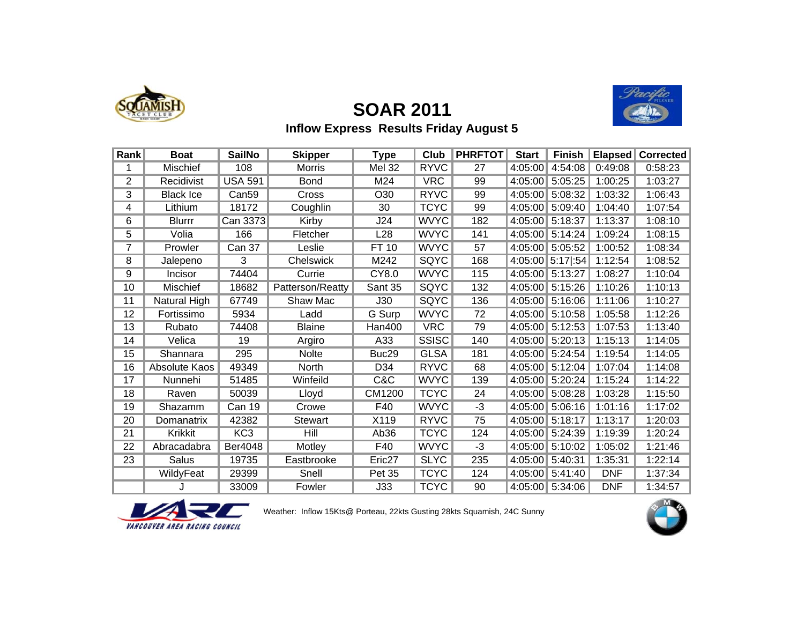

# **SOAR 2011**



### **Inflow Express Results Friday August 5**

| Rank           | <b>Boat</b>      | <b>SailNo</b>     | <b>Skipper</b>   | Type               | Club         | <b>PHRFTOT</b> | <b>Start</b> | <b>Finish</b> | <b>Elapsed</b> | Corrected |
|----------------|------------------|-------------------|------------------|--------------------|--------------|----------------|--------------|---------------|----------------|-----------|
|                | Mischief         | 108               | <b>Morris</b>    | <b>Mel 32</b>      | <b>RYVC</b>  | 27             | 4:05:00      | 4:54:08       | 0:49:08        | 0:58:23   |
| $\overline{2}$ | Recidivist       | <b>USA 591</b>    | <b>Bond</b>      | M24                | <b>VRC</b>   | 99             | 4:05:00      | 5:05:25       | 1:00:25        | 1:03:27   |
| 3              | <b>Black Ice</b> | Can <sub>59</sub> | Cross            | O <sub>30</sub>    |              | 99             | 4:05:00      | 5:08:32       | 1:03:32        | 1:06:43   |
| 4              | Lithium          | 18172             | Coughlin         | 30                 | <b>TCYC</b>  | 99             | 4:05:00      | 5:09:40       | 1:04:40        | 1:07:54   |
| 6              | <b>Blurrr</b>    | Can 3373          | Kirby            | J24                | <b>WVYC</b>  | 182            | 4:05:00      | 5:18:37       | 1:13:37        | 1:08:10   |
| 5              | Volia            | 166               | Fletcher         | L28                | <b>WVYC</b>  | 141            | 4:05:00      | 5:14:24       | 1:09:24        | 1:08:15   |
| $\overline{7}$ | Prowler          | Can 37            | Leslie           | FT 10              | <b>WVYC</b>  | 57             | 4:05:00      | 5:05:52       | 1:00:52        | 1:08:34   |
| 8              | Jalepeno         | 3                 | Chelswick        | M242               | <b>SQYC</b>  | 168            | 4:05:00      | 5:17 :54      | 1:12:54        | 1:08:52   |
| 9              | Incisor          | 74404             | Currie           | CY8.0              | <b>WVYC</b>  | 115            | 4:05:00      | 5:13:27       | 1:08:27        | 1:10:04   |
| 10             | <b>Mischief</b>  | 18682             | Patterson/Reatty | Sant 35            | SQYC         | 132            | 4:05:00      | 5:15:26       | 1:10:26        | 1:10:13   |
| 11             | Natural High     | 67749             | Shaw Mac         | J30                | SQYC         | 136            | 4:05:00      | 5:16:06       | 1:11:06        | 1:10:27   |
| 12             | Fortissimo       | 5934              | Ladd             | G Surp             | <b>WVYC</b>  | 72             | 4:05:00      | 5:10:58       | 1:05:58        | 1:12:26   |
| 13             | Rubato           | 74408             | <b>Blaine</b>    | Han400             | <b>VRC</b>   | 79             | 4:05:00      | 5:12:53       | 1:07:53        | 1:13:40   |
| 14             | Velica           | 19                | Argiro           | A33                | <b>SSISC</b> | 140            | 4:05:00      | 5:20:13       | 1:15:13        | 1:14:05   |
| 15             | Shannara         | 295               | <b>Nolte</b>     | Buc29              | <b>GLSA</b>  | 181            | 4:05:00      | 5:24:54       | 1:19:54        | 1:14:05   |
| 16             | Absolute Kaos    | 49349             | North            | D34                | <b>RYVC</b>  | 68             | 4:05:00      | 5:12:04       | 1:07:04        | 1:14:08   |
| 17             | Nunnehi          | 51485             | Winfeild         | C&C                | <b>WVYC</b>  | 139            | 4:05:00      | 5:20:24       | 1:15:24        | 1:14:22   |
| 18             | Raven            | 50039             | Lloyd            | CM1200             | <b>TCYC</b>  | 24             | 4:05:00      | 5:08:28       | 1:03:28        | 1:15:50   |
| 19             | Shazamm          | Can 19            | Crowe            | F40                | <b>WVYC</b>  | $-3$           | 4:05:00      | 5:06:16       | 1:01:16        | 1:17:02   |
| 20             | Domanatrix       | 42382             | <b>Stewart</b>   | X119               | <b>RYVC</b>  | 75             | 4:05:00      | 5:18:17       | 1:13:17        | 1:20:03   |
| 21             | <b>Krikkit</b>   | KC <sub>3</sub>   | Hill             | Ab36               | <b>TCYC</b>  | 124            | 4:05:00      | 5:24:39       | 1:19:39        | 1:20:24   |
| 22             | Abracadabra      | Ber4048           | Motley           | F40                | <b>WVYC</b>  | $-3$           | 4:05:00      | 5:10:02       | 1:05:02        | 1:21:46   |
| 23             | <b>Salus</b>     | 19735             | Eastbrooke       | Eric <sub>27</sub> | <b>SLYC</b>  | 235            | 4:05:00      | 5:40:31       | 1:35:31        | 1:22:14   |
|                | WildyFeat        | 29399             | Snell            | <b>Pet 35</b>      | <b>TCYC</b>  | 124            | 4:05:00      | 5:41:40       | <b>DNF</b>     | 1:37:34   |
|                |                  | 33009             | Fowler           | J33                | <b>TCYC</b>  | 90             | 4:05:00      | 5:34:06       | <b>DNF</b>     | 1:34:57   |



Weather: Inflow 15Kts@ Porteau, 22kts Gusting 28kts Squamish, 24C Sunny

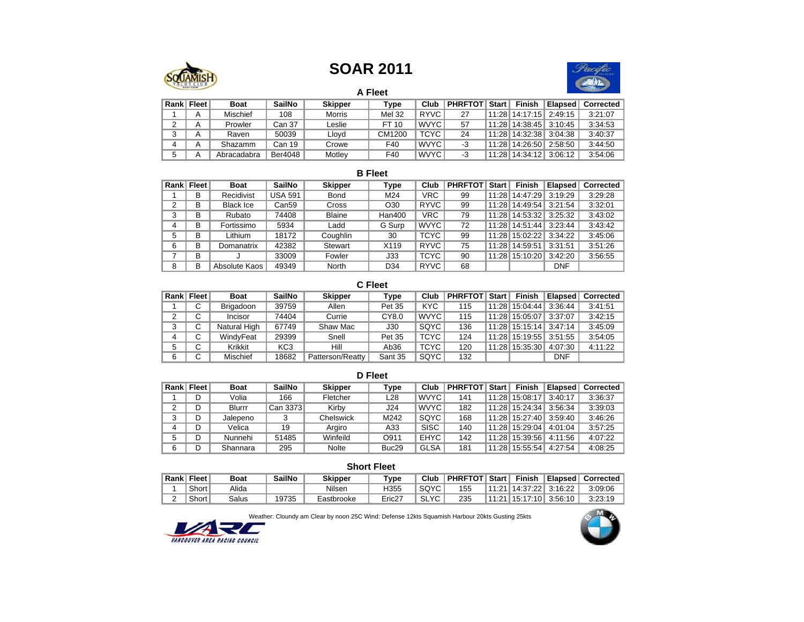### **SOAR 2011**



**A Fleet**

| Rank <sup> </sup> | Fleet | <b>Boat</b>     | <b>SailNo</b> | <b>Skipper</b> | Type          | Club        | <b>PHRFTOT</b> | <b>Start</b> | <b>Finish</b> | Elapsed | Corrected |
|-------------------|-------|-----------------|---------------|----------------|---------------|-------------|----------------|--------------|---------------|---------|-----------|
|                   | A     | <b>Mischief</b> | 108           | <b>Morris</b>  | <b>Mel 32</b> | <b>RYVC</b> | 27             | 11.28        | 14:17:15      | 2:49:15 | 3:21:07   |
|                   |       | Prowler         | Can 37        | Leslie         | FT 10         | <b>WVYC</b> | 57             | 11.28        | 14:38:45      | 3:10:45 | 3:34:53   |
| ບ                 | A     | Raven           | 50039         | Lloyd          | CM1200        | <b>TCYC</b> | 24             | 11.28        | 14:32:38      | 3:04:38 | 3:40:37   |
|                   | A     | Shazamm         | Can 19        | Crowe          | F40           | <b>WVYC</b> | -3             | 11.28        | 14:26:50      | 2:58:50 | 3:44:50   |
| 5                 |       | Abracadabra     | Ber4048       | Motley         | F40           | <b>WVYC</b> | -3             | 11:28        | 14:34:12      | 3:06:12 | 3:54:06   |

#### **B Fleet**

| Rank <sup> </sup> | Fleet | <b>Boat</b>      | <b>SailNo</b>  | <b>Skipper</b> | <b>Type</b>     | Club        | <b>PHRFTOT</b> | <b>Start</b> | <b>Finish</b>  | <b>Elapsed</b> | <b>Corrected</b> |
|-------------------|-------|------------------|----------------|----------------|-----------------|-------------|----------------|--------------|----------------|----------------|------------------|
|                   | В     | Recidivist       | <b>USA 591</b> | Bond           | M24             | <b>VRC</b>  | 99             | 11:28        | 14:47:29       | 3:19:29        | 3:29:28          |
| 2                 | В     | <b>Black Ice</b> | Can59          | Cross          | O <sub>30</sub> | <b>RYVC</b> | 99             | 11:28        | 14:49:54       | 3:21:54        | 3:32:01          |
| 3                 | В     | Rubato           | 74408          | <b>Blaine</b>  | <b>Han400</b>   | <b>VRC</b>  | 79             |              | 11:28 14:53:32 | 3:25:32        | 3:43:02          |
|                   | В     | Fortissimo       | 5934           | Ladd           | G Surp          | <b>WVYC</b> | 72             |              | 11:28 14:51:44 | 3:23:44        | 3:43:42          |
| 5                 | B     | Lithium          | 18172          | Coughlin       | 30              | <b>TCYC</b> | 99             |              | 11:28 15:02:22 | 3:34:22        | 3:45:06          |
| 6                 | B     | Domanatrix       | 42382          | Stewart        | X119            | <b>RYVC</b> | 75             | 11:28        | 14:59:51       | 3:31:51        | 3:51:26          |
|                   | В     | u                | 33009          | Fowler         | J33             | <b>TCYC</b> | 90             |              | 11:28 15:10:20 | 3:42:20        | 3:56:55          |
| 8                 | В     | Absolute Kaos    | 49349          | North          | D34             | <b>RYVC</b> | 68             |              |                | <b>DNF</b>     |                  |

#### **C Fleet**

| Rank <sup> </sup> | <b>Fleet</b> | <b>Boat</b>  | <b>SailNo</b>   | <b>Skipper</b>   | Type             | Club        | <b>PHRFTOT</b> | <b>Start</b> | <b>Finish</b>  | Elapsed    | <b>Corrected</b> |
|-------------------|--------------|--------------|-----------------|------------------|------------------|-------------|----------------|--------------|----------------|------------|------------------|
|                   | C            | Brigadoon    | 39759           | Allen            | Pet 35           | <b>KYC</b>  | 115            | 11:28        | 15:04:44       | 3:36:44    | 3:41:51          |
| 2                 | C            | Incisor      | 74404           | Currie           | CY8.0            | <b>WVYC</b> | 115            | 11:28        | 15:05:07       | 3:37:07    | 3:42:15          |
| 3                 | С            | Natural High | 67749           | Shaw Mac         | J30              | SQYC        | 136            |              | 11:28 15:15:14 | 3:47:14    | 3:45:09          |
| 4                 | С            | WindyFeat    | 29399           | Snell            | Pet 35           | <b>TCYC</b> | 124            |              | 11:28 15:19:55 | 3:51:55    | 3:54:05          |
| 5                 | С            | Krikkit      | KC <sub>3</sub> | Hill             | Ab <sub>36</sub> | <b>TCYC</b> | 120            |              | 11:28 15:35:30 | 4:07:30    | 4:11:22          |
| 6                 | C            | Mischief     | 18682           | Patterson/Reatty | Sant 35          | SQYC        | 132            |              |                | <b>DNF</b> |                  |

|   | D Fleet    |             |               |                |                   |             |                |              |                |         |           |  |  |  |  |
|---|------------|-------------|---------------|----------------|-------------------|-------------|----------------|--------------|----------------|---------|-----------|--|--|--|--|
|   | Rank Fleet | <b>Boat</b> | <b>SailNo</b> | <b>Skipper</b> | Type              | Club        | <b>PHRFTOT</b> | <b>Start</b> | <b>Finish</b>  | Elapsed | Corrected |  |  |  |  |
|   |            | Volia       | 166           | Fletcher       | L28               | WVYC        | 141            |              | 11:28 15:08:17 | 3:40:17 | 3:36:37   |  |  |  |  |
| 2 |            | Blurrr      | Can 3373      | Kirby          | J24               | WVYC        | 182            |              | 11:28 15:24:34 | 3:56:34 | 3:39:03   |  |  |  |  |
| 3 |            | Jalepeno    |               | Chelswick      | M242              | SQYC        | 168            |              | 11:28 15:27:40 | 3:59:40 | 3:46:26   |  |  |  |  |
| 4 |            | Velica      | 19            | Argiro         | A33               | <b>SISC</b> | 140            |              | 11:28 15:29:04 | 4:01:04 | 3:57:25   |  |  |  |  |
| 5 | D          | Nunnehi     | 51485         | Winfeild       | O911              | <b>EHYC</b> | 142            |              | 11:28 15:39:56 | 4:11:56 | 4:07:22   |  |  |  |  |
| 6 |            | Shannara    | 295           | <b>Nolte</b>   | Buc <sub>29</sub> | <b>GLSA</b> | 181            |              | 11:28 15:55:54 | 4:27:54 | 4:08:25   |  |  |  |  |

#### **Short Fleet**

| Rank <sup> </sup> | <b>Fleet</b> | Boat  | <b>SailNo</b> | <b>Skipper</b> | $T$ vpe | Club        | <b>PHRFTOT</b> | <b>Start</b> | <b>Finish</b> | Elapsed | Corrected |
|-------------------|--------------|-------|---------------|----------------|---------|-------------|----------------|--------------|---------------|---------|-----------|
|                   | Short        | Alida |               | Nilser         | H355    | SQYC        | 155            | 11:21        | ່ 14:37:22∥   | 3:16:22 | 3:09:06   |
|                   | Short        | alusذ | 19735         | Eastbrooke     | Eric27  | <b>SLYC</b> | 235            | 11:21        | 15:17:10      | 3:56:10 | 3:23:19   |

Weather: Cloundy am Clear by noon 25C Wind: Defense 12kts Squamish Harbour 20kts Gusting 25kts



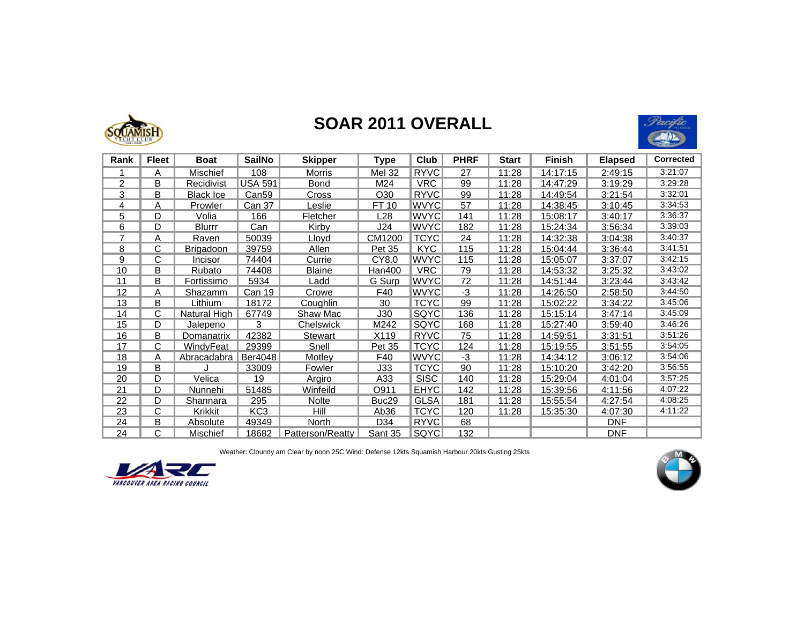

## **SOAR 2011 OVERALL**



| Rank           | <b>Fleet</b> | <b>Boat</b>         | <b>SailNo</b>     | <b>Skipper</b>   | <b>Type</b>       | Club        | <b>PHRF</b> | <b>Start</b> | <b>Finish</b> | <b>Elapsed</b> | <b>Corrected</b> |
|----------------|--------------|---------------------|-------------------|------------------|-------------------|-------------|-------------|--------------|---------------|----------------|------------------|
|                | A            | <b>Mischief</b>     | 108               | <b>Morris</b>    | <b>Mel 32</b>     | <b>RYVC</b> | 27          | 11:28        | 14:17:15      | 2:49:15        | 3:21:07          |
| $\overline{2}$ | B            | Recidivist          | <b>USA 591</b>    | <b>Bond</b>      | M24               | <b>VRC</b>  | 99          | 11:28        | 14:47:29      | 3:19:29        | 3:29:28          |
| 3              | В            | Black Ice           | Can <sub>59</sub> | Cross            | O30               | <b>RYVC</b> | 99          | 11:28        | 14:49:54      | 3:21:54        | 3:32:01          |
| 4              | A            | Prowler             | Can 37            | Leslie           | FT 10             | <b>WVYC</b> | 57          | 11:28        | 14:38:45      | 3:10:45        | 3:34:53          |
| 5              | D            | Volia               | 166               | Fletcher         | L28               | <b>WVYC</b> | 141         | 11:28        | 15:08:17      | 3:40:17        | 3:36:37          |
| 6              | D            | Blurrr              | <u>Can</u>        | Kirby            | J24               | <b>WVYC</b> | 182         | 11:28        | 15:24:34      | 3:56:34        | 3:39:03          |
| 7              | A            | Raven               | 50039             | Llovd            | CM1200            | <b>TCYC</b> | 24          | 11:28        | 14:32:38      | 3:04:38        | 3:40:37          |
| 8              | С            | <b>Brigadoon</b>    | 39759             | Allen            | Pet 35            | <b>KYC</b>  | 115         | 11:28        | 15:04:44      | 3:36:44        | 3:41:51          |
| 9              | С            | Incisor             | 74404             | Currie           | CY8.0             | <b>WVYC</b> | 115         | 11:28        | 15:05:07      | 3:37:07        | 3:42:15          |
| 10             | В            | Rubato              | 74408             | <b>Blaine</b>    | Han400            | <b>VRC</b>  | 79          | 11:28        | 14:53:32      | 3:25:32        | 3:43:02          |
| 11             | В            | Fortissimo          | 5934              | Ladd             | G Surp            | <b>WVYC</b> | 72          | 11:28        | 14:51:44      | 3:23:44        | 3:43:42          |
| 12             | A            | Shazamm             | Can 19            | Crowe            | F40               | <b>WVYC</b> | $-3$        | 11:28        | 14:26:50      | 2:58:50        | 3:44:50          |
| 13             | В            | Lithium             | 18172             | Coughlin         | 30                | <b>TCYC</b> | 99          | 11:28        | 15:02:22      | 3:34:22        | 3:45:06          |
| 14             | С            | <b>Natural High</b> | 67749             | Shaw Mac         | J30               | <b>SQYC</b> | 136         | 11:28        | 15:15:14      | 3:47:14        | 3:45:09          |
| 15             | D            | Jalepeno            | 3                 | Chelswick        | M242              | SQYC        | 168         | 11:28        | 15:27:40      | 3:59:40        | 3:46:26          |
| 16             | В            | Domanatrix          | 42382             | Stewart          | X119              | <b>RYVC</b> | 75          | 11:28        | 14:59:51      | 3:31:51        | 3:51:26          |
| 17             | С            | WindyFeat           | 29399             | Snell            | Pet 35            | <b>TCYC</b> | 124         | 11:28        | 15:19:55      | 3:51:55        | 3:54:05          |
| 18             | A            | Abracadabra         | Ber4048           | Motley           | F40               | <b>WVYC</b> | $-3$        | 11:28        | 14:34:12      | 3:06:12        | 3:54:06          |
| 19             | B            |                     | 33009             | Fowler           | J33               | <b>TCYC</b> | 90          | 11:28        | 15:10:20      | 3:42:20        | 3:56:55          |
| 20             | D            | Velica              | 19                | Argiro           | A33               | <b>SISC</b> | 140         | 11:28        | 15:29:04      | 4:01:04        | 3:57:25          |
| 21             | D            | Nunnehi             | 51485             | Winfeild         | O911              | <b>EHYC</b> | 142         | 11:28        | 15:39:56      | 4:11:56        | 4:07:22          |
| 22             | D            | <b>Shannara</b>     | 295               | <b>Nolte</b>     | Buc <sub>29</sub> | <b>GLSA</b> | 181         | 11:28        | 15:55:54      | <u>4:27:54</u> | 4:08:25          |
| 23             | С            | Krikkit             | KC <sub>3</sub>   | Hill             | Ab36              | <b>TCYC</b> | 120         | 11:28        | 15:35:30      | 4:07:30        | 4:11:22          |
| 24             | В            | Absolute            | 49349             | North            | D34               | <b>RYVC</b> | 68          |              |               | <b>DNF</b>     |                  |
| 24             | С            | <b>Mischief</b>     | 18682             | Patterson/Reatty | Sant 35           | SQYC        | 132         |              |               | <b>DNF</b>     |                  |

Weather: Cloundy am Clear by noon 25C Wind: Defense 12kts Squamish Harbour 20kts Gusting 25kts